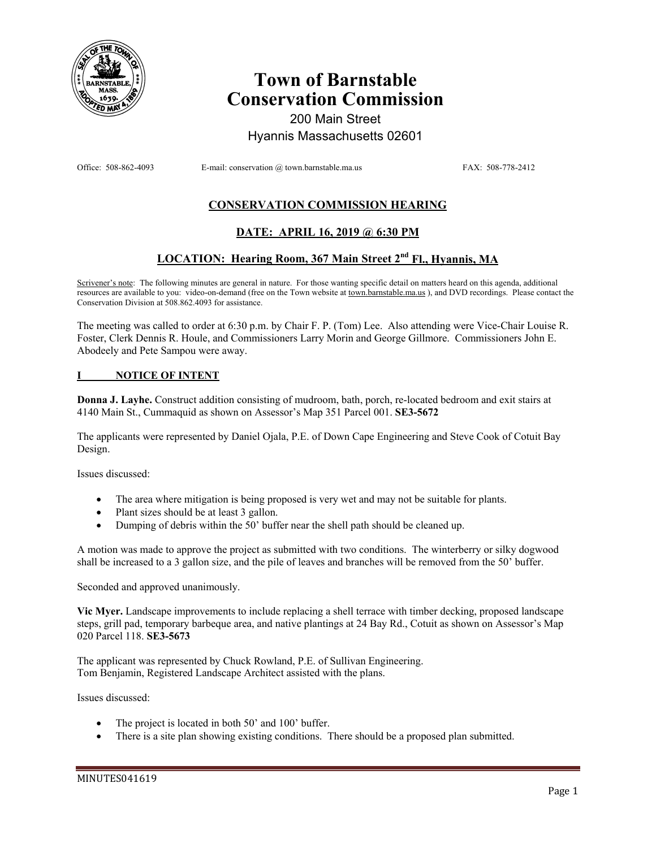

# **Town of Barnstable Conservation Commission**

200 Main Street Hyannis Massachusetts 02601

Office: 508-862-4093 E-mail: conservation @ town.barnstable.ma.us FAX: 508-778-2412

## **CONSERVATION COMMISSION HEARING**

## **DATE: APRIL 16, 2019 @ 6:30 PM**

### **LOCATION: Hearing Room, 367 Main Street 2nd Fl., Hyannis, MA**

Scrivener's note: The following minutes are general in nature. For those wanting specific detail on matters heard on this agenda, additional resources are available to you: video-on-demand (free on the Town website at town.barnstable.ma.us), and DVD recordings. Please contact the Conservation Division at 508.862.4093 for assistance.

The meeting was called to order at 6:30 p.m. by Chair F. P. (Tom) Lee. Also attending were Vice-Chair Louise R. Foster, Clerk Dennis R. Houle, and Commissioners Larry Morin and George Gillmore. Commissioners John E. Abodeely and Pete Sampou were away.

#### **I NOTICE OF INTENT**

**Donna J. Layhe.** Construct addition consisting of mudroom, bath, porch, re-located bedroom and exit stairs at 4140 Main St., Cummaquid as shown on Assessor's Map 351 Parcel 001. **SE3-5672** 

The applicants were represented by Daniel Ojala, P.E. of Down Cape Engineering and Steve Cook of Cotuit Bay Design.

Issues discussed:

- The area where mitigation is being proposed is very wet and may not be suitable for plants.
- Plant sizes should be at least 3 gallon.
- Dumping of debris within the 50' buffer near the shell path should be cleaned up.

A motion was made to approve the project as submitted with two conditions. The winterberry or silky dogwood shall be increased to a 3 gallon size, and the pile of leaves and branches will be removed from the 50' buffer.

Seconded and approved unanimously.

**Vic Myer.** Landscape improvements to include replacing a shell terrace with timber decking, proposed landscape steps, grill pad, temporary barbeque area, and native plantings at 24 Bay Rd., Cotuit as shown on Assessor's Map 020 Parcel 118. **SE3-5673** 

The applicant was represented by Chuck Rowland, P.E. of Sullivan Engineering. Tom Benjamin, Registered Landscape Architect assisted with the plans.

Issues discussed:

- The project is located in both 50' and 100' buffer.
- There is a site plan showing existing conditions. There should be a proposed plan submitted.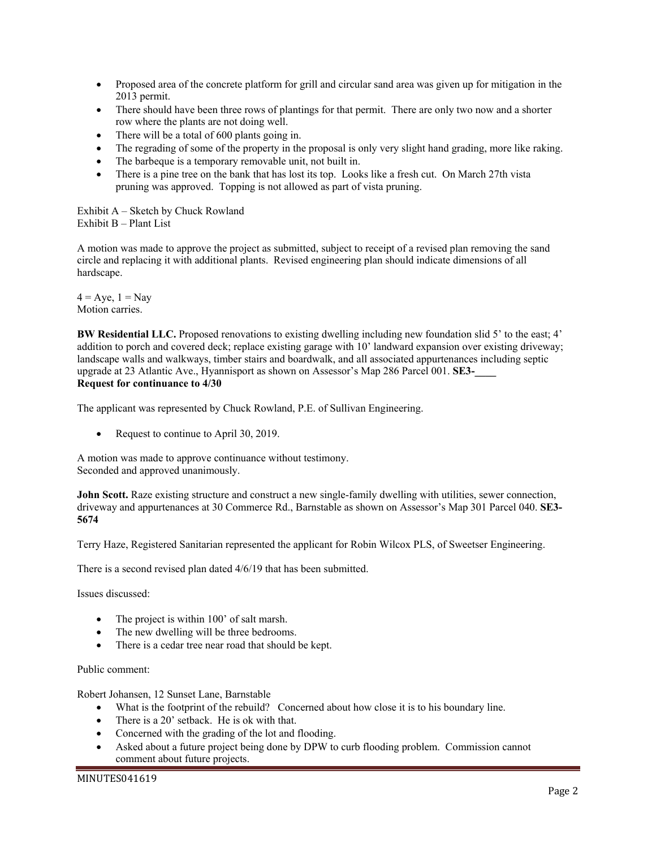- Proposed area of the concrete platform for grill and circular sand area was given up for mitigation in the 2013 permit.
- There should have been three rows of plantings for that permit. There are only two now and a shorter row where the plants are not doing well.
- There will be a total of 600 plants going in.
- The regrading of some of the property in the proposal is only very slight hand grading, more like raking.
- The barbeque is a temporary removable unit, not built in.
- There is a pine tree on the bank that has lost its top. Looks like a fresh cut. On March 27th vista pruning was approved. Topping is not allowed as part of vista pruning.

Exhibit A – Sketch by Chuck Rowland Exhibit B – Plant List

A motion was made to approve the project as submitted, subject to receipt of a revised plan removing the sand circle and replacing it with additional plants. Revised engineering plan should indicate dimensions of all hardscape.

 $4 = Aye$ ,  $1 = Nay$ Motion carries.

**BW Residential LLC.** Proposed renovations to existing dwelling including new foundation slid 5' to the east; 4' addition to porch and covered deck; replace existing garage with 10' landward expansion over existing driveway; landscape walls and walkways, timber stairs and boardwalk, and all associated appurtenances including septic upgrade at 23 Atlantic Ave., Hyannisport as shown on Assessor's Map 286 Parcel 001. **SE3-\_\_\_\_ Request for continuance to 4/30** 

The applicant was represented by Chuck Rowland, P.E. of Sullivan Engineering.

Request to continue to April 30, 2019.

A motion was made to approve continuance without testimony. Seconded and approved unanimously.

**John Scott.** Raze existing structure and construct a new single-family dwelling with utilities, sewer connection, driveway and appurtenances at 30 Commerce Rd., Barnstable as shown on Assessor's Map 301 Parcel 040. **SE3- 5674** 

Terry Haze, Registered Sanitarian represented the applicant for Robin Wilcox PLS, of Sweetser Engineering.

There is a second revised plan dated 4/6/19 that has been submitted.

Issues discussed:

- The project is within 100' of salt marsh.
- The new dwelling will be three bedrooms.
- There is a cedar tree near road that should be kept.

#### Public comment:

Robert Johansen, 12 Sunset Lane, Barnstable

- What is the footprint of the rebuild? Concerned about how close it is to his boundary line.
- There is a 20' setback. He is ok with that.
- Concerned with the grading of the lot and flooding.
- Asked about a future project being done by DPW to curb flooding problem. Commission cannot comment about future projects.